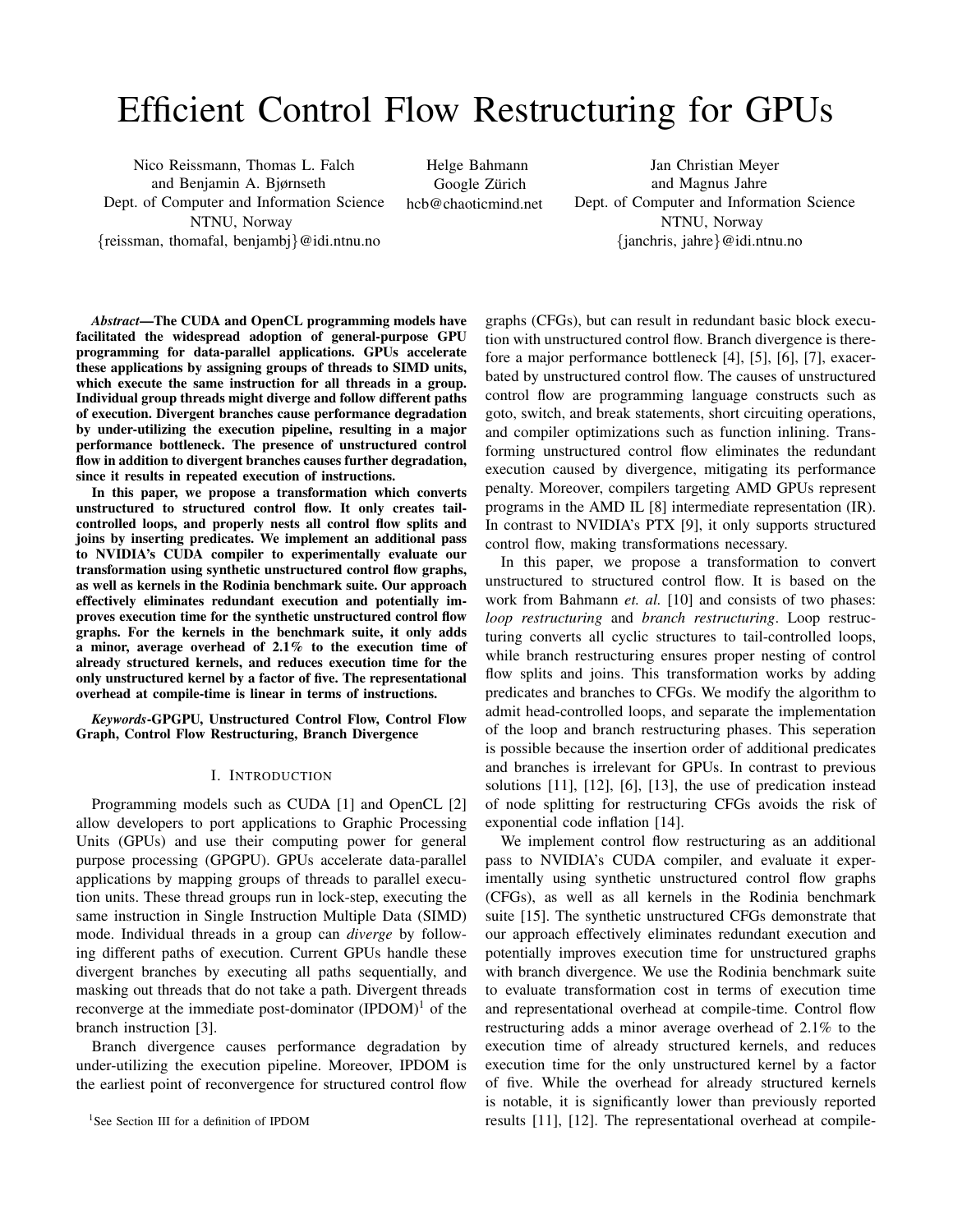# Efficient Control Flow Restructuring for GPUs

Nico Reissmann, Thomas L. Falch and Benjamin A. Bjørnseth Dept. of Computer and Information Science NTNU, Norway {reissman, thomafal, benjambj}@idi.ntnu.no

Helge Bahmann Google Zürich hcb@chaoticmind.net

Jan Christian Meyer and Magnus Jahre Dept. of Computer and Information Science NTNU, Norway {janchris, jahre}@idi.ntnu.no

*Abstract*—The CUDA and OpenCL programming models have facilitated the widespread adoption of general-purpose GPU programming for data-parallel applications. GPUs accelerate these applications by assigning groups of threads to SIMD units, which execute the same instruction for all threads in a group. Individual group threads might diverge and follow different paths of execution. Divergent branches cause performance degradation by under-utilizing the execution pipeline, resulting in a major performance bottleneck. The presence of unstructured control flow in addition to divergent branches causes further degradation, since it results in repeated execution of instructions.

In this paper, we propose a transformation which converts unstructured to structured control flow. It only creates tailcontrolled loops, and properly nests all control flow splits and joins by inserting predicates. We implement an additional pass to NVIDIA's CUDA compiler to experimentally evaluate our transformation using synthetic unstructured control flow graphs, as well as kernels in the Rodinia benchmark suite. Our approach effectively eliminates redundant execution and potentially improves execution time for the synthetic unstructured control flow graphs. For the kernels in the benchmark suite, it only adds a minor, average overhead of 2.1% to the execution time of already structured kernels, and reduces execution time for the only unstructured kernel by a factor of five. The representational overhead at compile-time is linear in terms of instructions.

*Keywords*-GPGPU, Unstructured Control Flow, Control Flow Graph, Control Flow Restructuring, Branch Divergence

#### I. INTRODUCTION

Programming models such as CUDA [1] and OpenCL [2] allow developers to port applications to Graphic Processing Units (GPUs) and use their computing power for general purpose processing (GPGPU). GPUs accelerate data-parallel applications by mapping groups of threads to parallel execution units. These thread groups run in lock-step, executing the same instruction in Single Instruction Multiple Data (SIMD) mode. Individual threads in a group can *diverge* by following different paths of execution. Current GPUs handle these divergent branches by executing all paths sequentially, and masking out threads that do not take a path. Divergent threads reconverge at the immediate post-dominator  $(IPDOM)^1$  of the branch instruction [3].

Branch divergence causes performance degradation by under-utilizing the execution pipeline. Moreover, IPDOM is the earliest point of reconvergence for structured control flow graphs (CFGs), but can result in redundant basic block execution with unstructured control flow. Branch divergence is therefore a major performance bottleneck [4], [5], [6], [7], exacerbated by unstructured control flow. The causes of unstructured control flow are programming language constructs such as goto, switch, and break statements, short circuiting operations, and compiler optimizations such as function inlining. Transforming unstructured control flow eliminates the redundant execution caused by divergence, mitigating its performance penalty. Moreover, compilers targeting AMD GPUs represent programs in the AMD IL [8] intermediate representation (IR). In contrast to NVIDIA's PTX [9], it only supports structured control flow, making transformations necessary.

In this paper, we propose a transformation to convert unstructured to structured control flow. It is based on the work from Bahmann *et. al.* [10] and consists of two phases: *loop restructuring* and *branch restructuring*. Loop restructuring converts all cyclic structures to tail-controlled loops, while branch restructuring ensures proper nesting of control flow splits and joins. This transformation works by adding predicates and branches to CFGs. We modify the algorithm to admit head-controlled loops, and separate the implementation of the loop and branch restructuring phases. This seperation is possible because the insertion order of additional predicates and branches is irrelevant for GPUs. In contrast to previous solutions [11], [12], [6], [13], the use of predication instead of node splitting for restructuring CFGs avoids the risk of exponential code inflation [14].

We implement control flow restructuring as an additional pass to NVIDIA's CUDA compiler, and evaluate it experimentally using synthetic unstructured control flow graphs (CFGs), as well as all kernels in the Rodinia benchmark suite [15]. The synthetic unstructured CFGs demonstrate that our approach effectively eliminates redundant execution and potentially improves execution time for unstructured graphs with branch divergence. We use the Rodinia benchmark suite to evaluate transformation cost in terms of execution time and representational overhead at compile-time. Control flow restructuring adds a minor average overhead of 2.1% to the execution time of already structured kernels, and reduces execution time for the only unstructured kernel by a factor of five. While the overhead for already structured kernels is notable, it is significantly lower than previously reported results [11], [12]. The representational overhead at compile-

<sup>1</sup>See Section III for a definition of IPDOM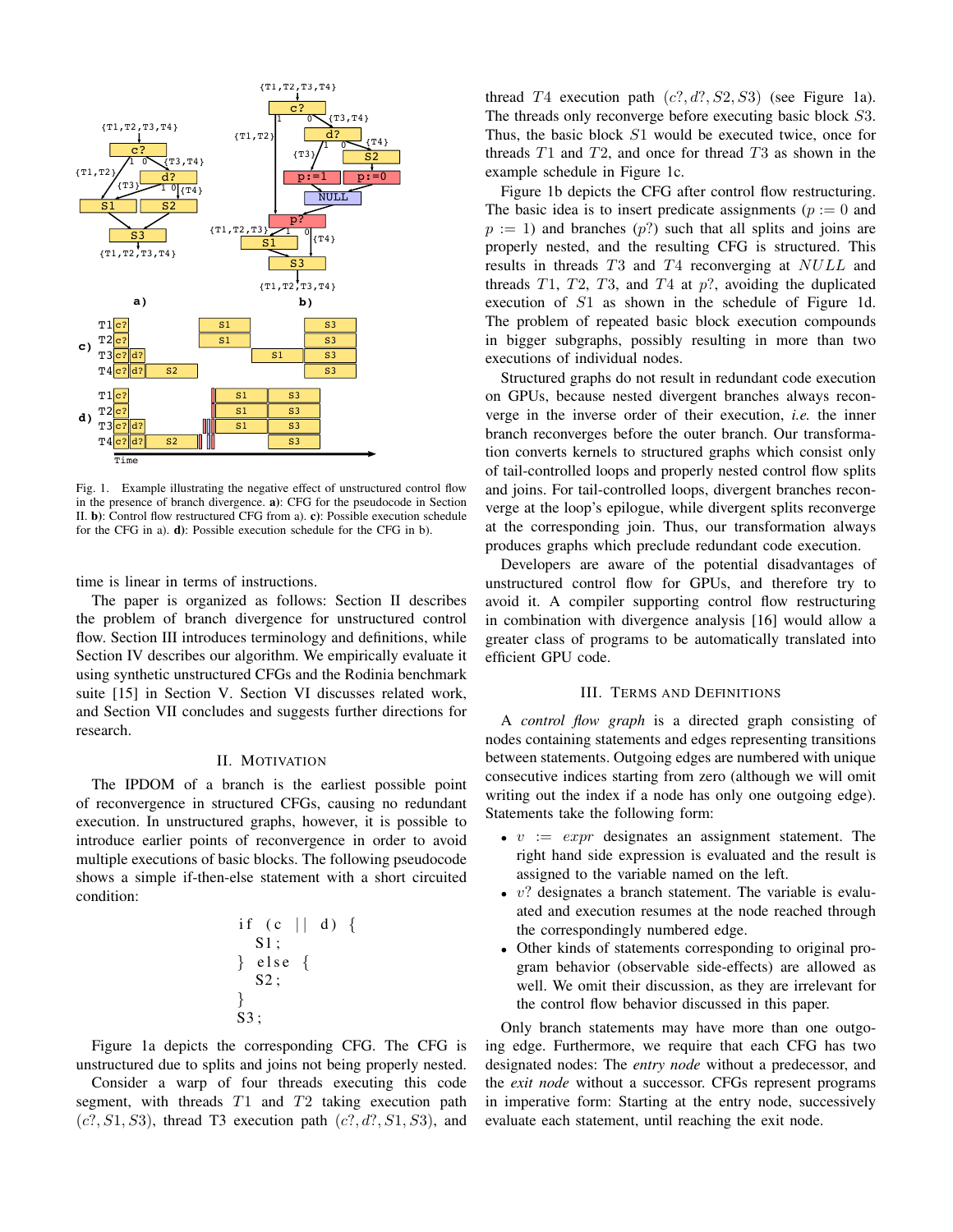

Fig. 1. Example illustrating the negative effect of unstructured control flow in the presence of branch divergence. a): CFG for the pseudocode in Section II. b): Control flow restructured CFG from a). c): Possible execution schedule for the CFG in a). d): Possible execution schedule for the CFG in b).

time is linear in terms of instructions.

The paper is organized as follows: Section II describes the problem of branch divergence for unstructured control flow. Section III introduces terminology and definitions, while Section IV describes our algorithm. We empirically evaluate it using synthetic unstructured CFGs and the Rodinia benchmark suite [15] in Section V. Section VI discusses related work, and Section VII concludes and suggests further directions for research.

#### II. MOTIVATION

The IPDOM of a branch is the earliest possible point of reconvergence in structured CFGs, causing no redundant execution. In unstructured graphs, however, it is possible to introduce earlier points of reconvergence in order to avoid multiple executions of basic blocks. The following pseudocode shows a simple if-then-else statement with a short circuited condition:

i f ( c | | d ) { S1 ; } e l s e { S2 ; } S3 ;

Figure 1a depicts the corresponding CFG. The CFG is unstructured due to splits and joins not being properly nested.

Consider a warp of four threads executing this code segment, with threads T1 and T2 taking execution path  $(c?, S1, S3)$ , thread T3 execution path  $(c?, d?, S1, S3)$ , and thread T4 execution path  $(c?, d?, S2, S3)$  (see Figure 1a). The threads only reconverge before executing basic block S3. Thus, the basic block S1 would be executed twice, once for threads  $T1$  and  $T2$ , and once for thread  $T3$  as shown in the example schedule in Figure 1c.

Figure 1b depicts the CFG after control flow restructuring. The basic idea is to insert predicate assignments ( $p := 0$  and  $p := 1$ ) and branches  $(p?)$  such that all splits and joins are properly nested, and the resulting CFG is structured. This results in threads T3 and T4 reconverging at NULL and threads  $T1$ ,  $T2$ ,  $T3$ , and  $T4$  at  $p$ ?, avoiding the duplicated execution of S1 as shown in the schedule of Figure 1d. The problem of repeated basic block execution compounds in bigger subgraphs, possibly resulting in more than two executions of individual nodes.

Structured graphs do not result in redundant code execution on GPUs, because nested divergent branches always reconverge in the inverse order of their execution, *i.e.* the inner branch reconverges before the outer branch. Our transformation converts kernels to structured graphs which consist only of tail-controlled loops and properly nested control flow splits and joins. For tail-controlled loops, divergent branches reconverge at the loop's epilogue, while divergent splits reconverge at the corresponding join. Thus, our transformation always produces graphs which preclude redundant code execution.

Developers are aware of the potential disadvantages of unstructured control flow for GPUs, and therefore try to avoid it. A compiler supporting control flow restructuring in combination with divergence analysis [16] would allow a greater class of programs to be automatically translated into efficient GPU code.

#### III. TERMS AND DEFINITIONS

A *control flow graph* is a directed graph consisting of nodes containing statements and edges representing transitions between statements. Outgoing edges are numbered with unique consecutive indices starting from zero (although we will omit writing out the index if a node has only one outgoing edge). Statements take the following form:

- $v := expr$  designates an assignment statement. The right hand side expression is evaluated and the result is assigned to the variable named on the left.
- $v$ ? designates a branch statement. The variable is evaluated and execution resumes at the node reached through the correspondingly numbered edge.
- Other kinds of statements corresponding to original program behavior (observable side-effects) are allowed as well. We omit their discussion, as they are irrelevant for the control flow behavior discussed in this paper.

Only branch statements may have more than one outgoing edge. Furthermore, we require that each CFG has two designated nodes: The *entry node* without a predecessor, and the *exit node* without a successor. CFGs represent programs in imperative form: Starting at the entry node, successively evaluate each statement, until reaching the exit node.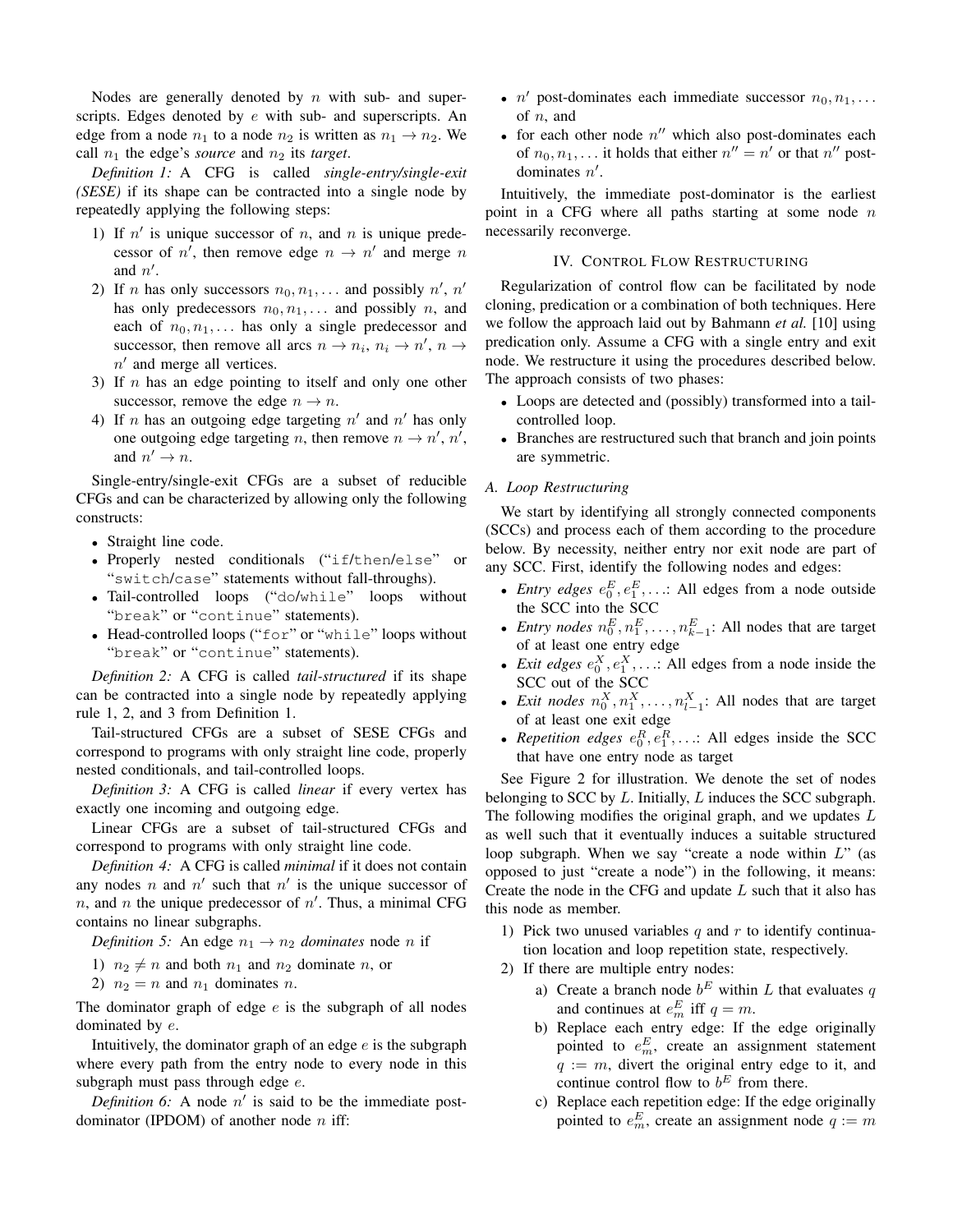Nodes are generally denoted by  $n$  with sub- and superscripts. Edges denoted by  $e$  with sub- and superscripts. An edge from a node  $n_1$  to a node  $n_2$  is written as  $n_1 \rightarrow n_2$ . We call  $n_1$  the edge's *source* and  $n_2$  its *target*.

*Definition 1:* A CFG is called *single-entry/single-exit (SESE)* if its shape can be contracted into a single node by repeatedly applying the following steps:

- 1) If  $n'$  is unique successor of n, and n is unique predecessor of n', then remove edge  $n \to n'$  and merge n and  $n'$ .
- 2) If *n* has only successors  $n_0, n_1, \ldots$  and possibly *n'*, *n'* has only predecessors  $n_0, n_1, \ldots$  and possibly n, and each of  $n_0, n_1, \ldots$  has only a single predecessor and successor, then remove all arcs  $n \to n_i$ ,  $n_i \to n'$ ,  $n \to$  $n'$  and merge all vertices.
- 3) If  $n$  has an edge pointing to itself and only one other successor, remove the edge  $n \to n$ .
- 4) If *n* has an outgoing edge targeting  $n'$  and  $n'$  has only one outgoing edge targeting *n*, then remove  $n \to n'$ ,  $n'$ , and  $n' \rightarrow n$ .

Single-entry/single-exit CFGs are a subset of reducible CFGs and can be characterized by allowing only the following constructs:

- Straight line code.
- Properly nested conditionals ("if/then/else" or "switch/case" statements without fall-throughs).
- Tail-controlled loops ("do/while" loops without "break" or "continue" statements).
- Head-controlled loops ("for" or "while" loops without "break" or "continue" statements).

*Definition 2:* A CFG is called *tail-structured* if its shape can be contracted into a single node by repeatedly applying rule 1, 2, and 3 from Definition 1.

Tail-structured CFGs are a subset of SESE CFGs and correspond to programs with only straight line code, properly nested conditionals, and tail-controlled loops.

*Definition 3:* A CFG is called *linear* if every vertex has exactly one incoming and outgoing edge.

Linear CFGs are a subset of tail-structured CFGs and correspond to programs with only straight line code.

*Definition 4:* A CFG is called *minimal* if it does not contain any nodes n and  $n'$  such that  $n'$  is the unique successor of n, and n the unique predecessor of  $n'$ . Thus, a minimal CFG contains no linear subgraphs.

*Definition 5:* An edge  $n_1 \rightarrow n_2$  *dominates* node *n* if

1)  $n_2 \neq n$  and both  $n_1$  and  $n_2$  dominate n, or

2)  $n_2 = n$  and  $n_1$  dominates n.

The dominator graph of edge  $e$  is the subgraph of all nodes dominated by e.

Intuitively, the dominator graph of an edge  $e$  is the subgraph where every path from the entry node to every node in this subgraph must pass through edge e.

*Definition* 6: A node  $n'$  is said to be the immediate postdominator (IPDOM) of another node  $n$  iff:

- $n'$  post-dominates each immediate successor  $n_0, n_1, \ldots$ of  $n$ , and
- for each other node  $n''$  which also post-dominates each of  $n_0, n_1, \ldots$  it holds that either  $n'' = n'$  or that  $n''$  postdominates  $n'$ .

Intuitively, the immediate post-dominator is the earliest point in a CFG where all paths starting at some node  $n$ necessarily reconverge.

## IV. CONTROL FLOW RESTRUCTURING

Regularization of control flow can be facilitated by node cloning, predication or a combination of both techniques. Here we follow the approach laid out by Bahmann *et al.* [10] using predication only. Assume a CFG with a single entry and exit node. We restructure it using the procedures described below. The approach consists of two phases:

- Loops are detected and (possibly) transformed into a tailcontrolled loop.
- Branches are restructured such that branch and join points are symmetric.

#### *A. Loop Restructuring*

We start by identifying all strongly connected components (SCCs) and process each of them according to the procedure below. By necessity, neither entry nor exit node are part of any SCC. First, identify the following nodes and edges:

- *Entry edges*  $e_0^E, e_1^E, \ldots$ : All edges from a node outside the SCC into the SCC
- *Entry nodes*  $n_0^E, n_1^E, \ldots, n_{k-1}^E$ : All nodes that are target of at least one entry edge
- *Exit edges*  $e_0^X, e_1^X, \ldots$ : All edges from a node inside the SCC out of the SCC
- *Exit nodes*  $n_0^X, n_1^X, \ldots, n_{l-1}^X$ : All nodes that are target of at least one exit edge
- *Repetition edges*  $e_0^R, e_1^R, \ldots$ : All edges inside the SCC that have one entry node as target

See Figure 2 for illustration. We denote the set of nodes belonging to SCC by L. Initially, L induces the SCC subgraph. The following modifies the original graph, and we updates L as well such that it eventually induces a suitable structured loop subgraph. When we say "create a node within  $L$ " (as opposed to just "create a node") in the following, it means: Create the node in the CFG and update  $L$  such that it also has this node as member.

- 1) Pick two unused variables  $q$  and  $r$  to identify continuation location and loop repetition state, respectively.
- 2) If there are multiple entry nodes:
	- a) Create a branch node  $b^E$  within L that evaluates q and continues at  $e_m^E$  iff  $q = m$ .
	- b) Replace each entry edge: If the edge originally pointed to  $e_m^E$ , create an assignment statement  $q := m$ , divert the original entry edge to it, and continue control flow to  $b^E$  from there.
	- c) Replace each repetition edge: If the edge originally pointed to  $e_m^E$ , create an assignment node  $q := m$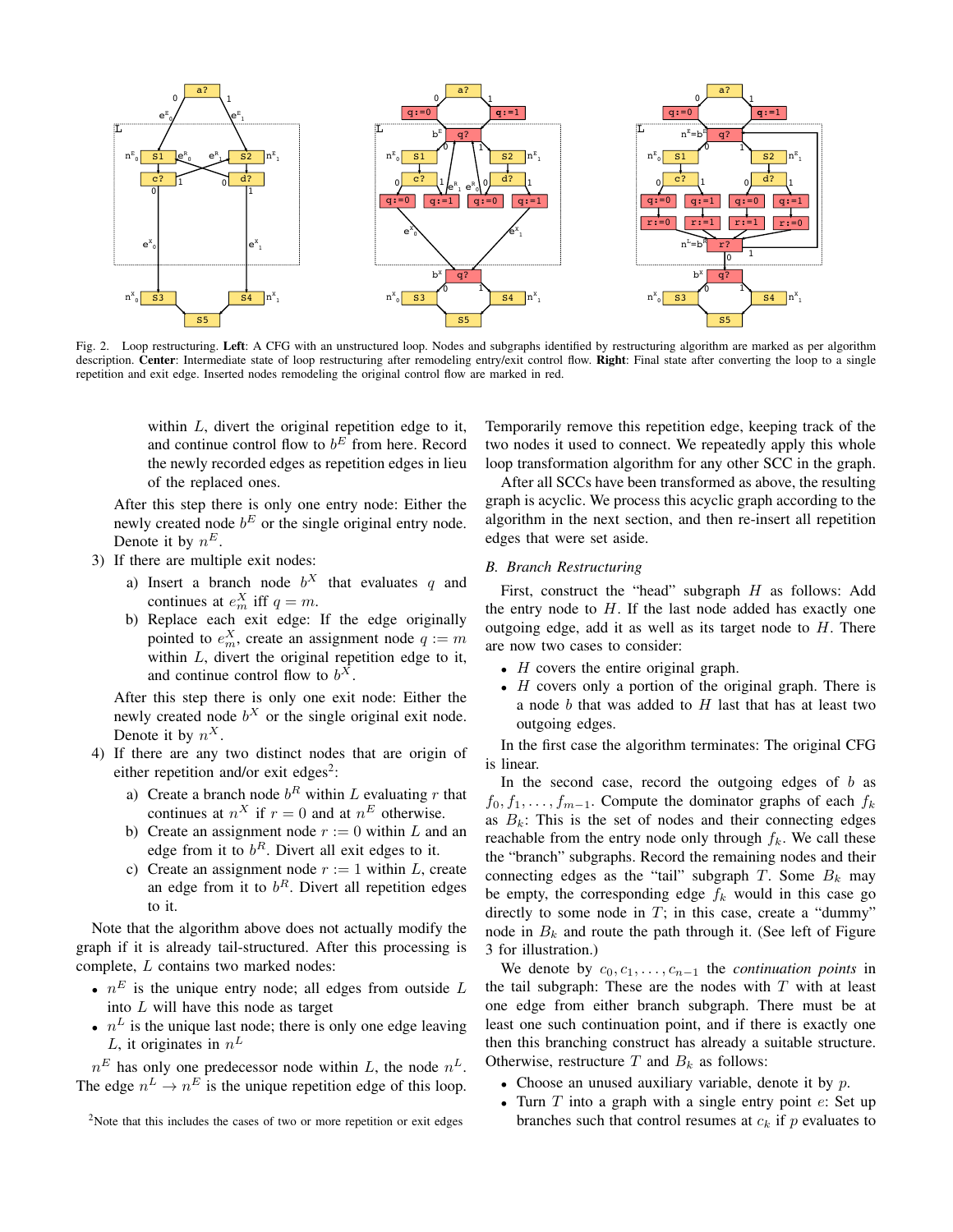

Fig. 2. Loop restructuring. Left: A CFG with an unstructured loop. Nodes and subgraphs identified by restructuring algorithm are marked as per algorithm description. Center: Intermediate state of loop restructuring after remodeling entry/exit control flow. Right: Final state after converting the loop to a single repetition and exit edge. Inserted nodes remodeling the original control flow are marked in red.

within L, divert the original repetition edge to it, and continue control flow to  $b<sup>E</sup>$  from here. Record the newly recorded edges as repetition edges in lieu of the replaced ones.

After this step there is only one entry node: Either the newly created node  $b^E$  or the single original entry node. Denote it by  $n^E$ .

- 3) If there are multiple exit nodes:
	- a) Insert a branch node  $b^X$  that evaluates q and continues at  $e_m^X$  iff  $q = m$ .
	- b) Replace each exit edge: If the edge originally pointed to  $e_m^X$ , create an assignment node  $q := m$ within  $L$ , divert the original repetition edge to it, and continue control flow to  $b^X$ .

After this step there is only one exit node: Either the newly created node  $b^X$  or the single original exit node. Denote it by  $n^X$ .

- 4) If there are any two distinct nodes that are origin of either repetition and/or exit edges<sup>2</sup>:
	- a) Create a branch node  $b^R$  within L evaluating r that continues at  $n^X$  if  $r = 0$  and at  $n^E$  otherwise.
	- b) Create an assignment node  $r := 0$  within L and an edge from it to  $b^R$ . Divert all exit edges to it.
	- c) Create an assignment node  $r := 1$  within L, create an edge from it to  $b^R$ . Divert all repetition edges to it.

Note that the algorithm above does not actually modify the graph if it is already tail-structured. After this processing is complete, L contains two marked nodes:

- $n^E$  is the unique entry node; all edges from outside L into L will have this node as target
- $n<sup>L</sup>$  is the unique last node; there is only one edge leaving L, it originates in  $n^L$

 $n<sup>E</sup>$  has only one predecessor node within L, the node  $n<sup>L</sup>$ . The edge  $n^L \to n^E$  is the unique repetition edge of this loop. Temporarily remove this repetition edge, keeping track of the two nodes it used to connect. We repeatedly apply this whole loop transformation algorithm for any other SCC in the graph.

After all SCCs have been transformed as above, the resulting graph is acyclic. We process this acyclic graph according to the algorithm in the next section, and then re-insert all repetition edges that were set aside.

# *B. Branch Restructuring*

First, construct the "head" subgraph  $H$  as follows: Add the entry node to  $H$ . If the last node added has exactly one outgoing edge, add it as well as its target node to  $H$ . There are now two cases to consider:

- *H* covers the entire original graph.
- $\bullet$  *H* covers only a portion of the original graph. There is a node  $b$  that was added to  $H$  last that has at least two outgoing edges.

In the first case the algorithm terminates: The original CFG is linear.

In the second case, record the outgoing edges of  $b$  as  $f_0, f_1, \ldots, f_{m-1}$ . Compute the dominator graphs of each  $f_k$ as  $B_k$ : This is the set of nodes and their connecting edges reachable from the entry node only through  $f_k$ . We call these the "branch" subgraphs. Record the remaining nodes and their connecting edges as the "tail" subgraph  $T$ . Some  $B_k$  may be empty, the corresponding edge  $f_k$  would in this case go directly to some node in  $T$ ; in this case, create a "dummy" node in  $B_k$  and route the path through it. (See left of Figure 3 for illustration.)

We denote by  $c_0, c_1, \ldots, c_{n-1}$  the *continuation points* in the tail subgraph: These are the nodes with  $T$  with at least one edge from either branch subgraph. There must be at least one such continuation point, and if there is exactly one then this branching construct has already a suitable structure. Otherwise, restructure  $T$  and  $B_k$  as follows:

- Choose an unused auxiliary variable, denote it by  $p$ .
- Turn  $T$  into a graph with a single entry point  $e$ : Set up branches such that control resumes at  $c_k$  if p evaluates to

<sup>&</sup>lt;sup>2</sup>Note that this includes the cases of two or more repetition or exit edges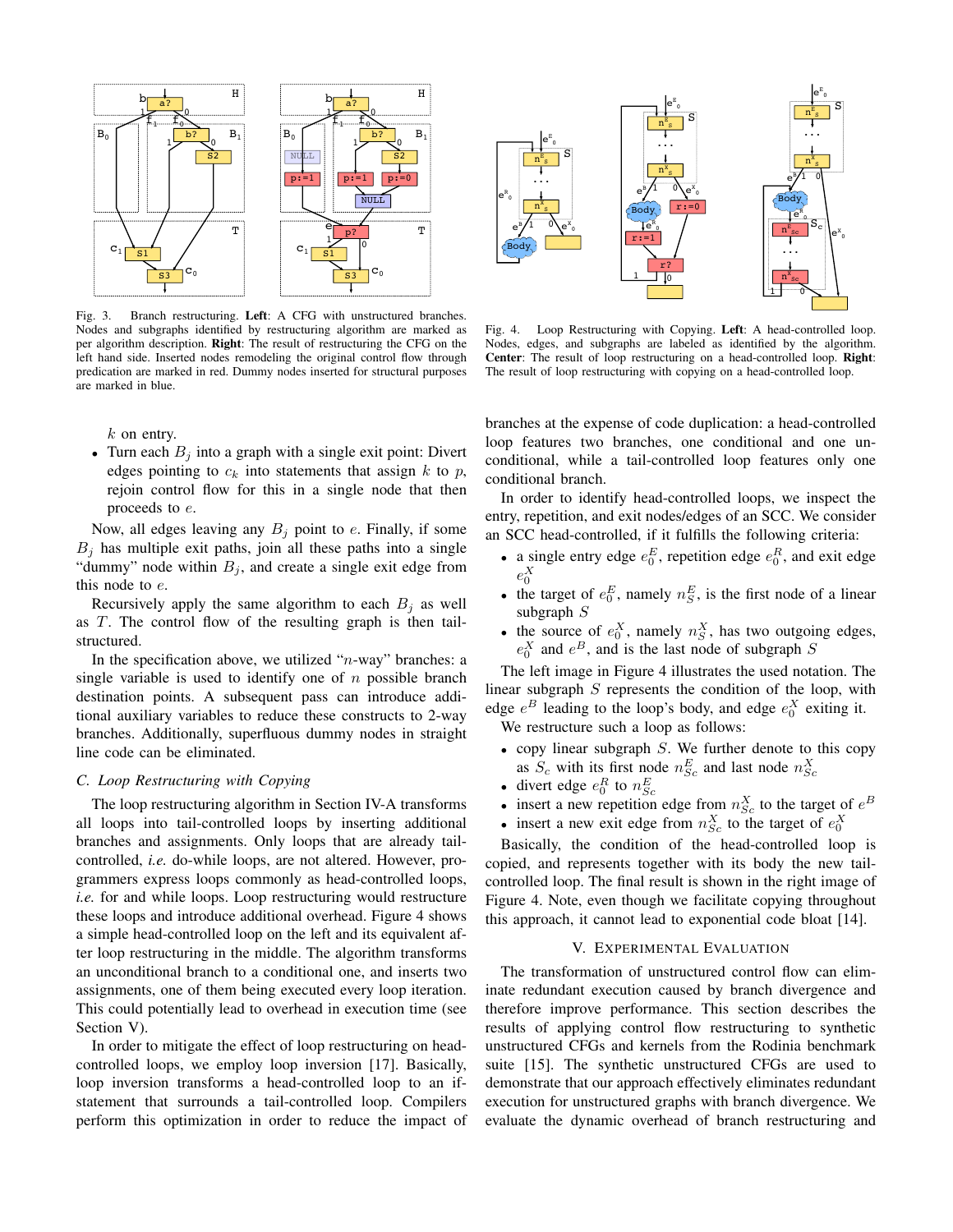

Fig. 3. Branch restructuring. Left: A CFG with unstructured branches. Nodes and subgraphs identified by restructuring algorithm are marked as per algorithm description. Right: The result of restructuring the CFG on the left hand side. Inserted nodes remodeling the original control flow through predication are marked in red. Dummy nodes inserted for structural purposes are marked in blue.

 $k$  on entry.

• Turn each  $B_j$  into a graph with a single exit point: Divert edges pointing to  $c_k$  into statements that assign k to p, rejoin control flow for this in a single node that then proceeds to e.

Now, all edges leaving any  $B_j$  point to e. Finally, if some  $B_i$  has multiple exit paths, join all these paths into a single "dummy" node within  $B_j$ , and create a single exit edge from this node to e.

Recursively apply the same algorithm to each  $B_j$  as well as T. The control flow of the resulting graph is then tailstructured.

In the specification above, we utilized " $n$ -way" branches: a single variable is used to identify one of  $n$  possible branch destination points. A subsequent pass can introduce additional auxiliary variables to reduce these constructs to 2-way branches. Additionally, superfluous dummy nodes in straight line code can be eliminated.

## *C. Loop Restructuring with Copying*

The loop restructuring algorithm in Section IV-A transforms all loops into tail-controlled loops by inserting additional branches and assignments. Only loops that are already tailcontrolled, *i.e.* do-while loops, are not altered. However, programmers express loops commonly as head-controlled loops, *i.e.* for and while loops. Loop restructuring would restructure these loops and introduce additional overhead. Figure 4 shows a simple head-controlled loop on the left and its equivalent after loop restructuring in the middle. The algorithm transforms an unconditional branch to a conditional one, and inserts two assignments, one of them being executed every loop iteration. This could potentially lead to overhead in execution time (see Section V).

In order to mitigate the effect of loop restructuring on headcontrolled loops, we employ loop inversion [17]. Basically, loop inversion transforms a head-controlled loop to an ifstatement that surrounds a tail-controlled loop. Compilers perform this optimization in order to reduce the impact of



Fig. 4. Loop Restructuring with Copying. Left: A head-controlled loop. Nodes, edges, and subgraphs are labeled as identified by the algorithm. Center: The result of loop restructuring on a head-controlled loop. Right: The result of loop restructuring with copying on a head-controlled loop.

branches at the expense of code duplication: a head-controlled loop features two branches, one conditional and one unconditional, while a tail-controlled loop features only one conditional branch.

In order to identify head-controlled loops, we inspect the entry, repetition, and exit nodes/edges of an SCC. We consider an SCC head-controlled, if it fulfills the following criteria:

- a single entry edge  $e_0^E$ , repetition edge  $e_0^R$ , and exit edge X
- $e_0^X$  the target of  $e_0^E$ , namely  $n_S^E$ , is the first node of a linear subgraph S
- the source of  $e_0^X$ , namely  $n_S^X$ , has two outgoing edges,  $e_0^X$  and  $e^B$ , and is the last node of subgraph S

The left image in Figure 4 illustrates the used notation. The linear subgraph  $S$  represents the condition of the loop, with edge  $e^B$  leading to the loop's body, and edge  $e_0^X$  exiting it. We restructure such a loop as follows:

- copy linear subgraph  $S$ . We further denote to this copy as  $S_c$  with its first node  $n_{Sc}^E$  and last node  $n_{Sc}^X$
- 
- divert edge  $e_0^R$  to  $n_{Sc}^E$ <br>• insert a new repetition edge from  $n_{Sc}^X$  to the target of  $e^B$
- insert a new exit edge from  $n_{Sc}^{X}$  to the target of  $e_0^{X}$

Basically, the condition of the head-controlled loop is copied, and represents together with its body the new tailcontrolled loop. The final result is shown in the right image of Figure 4. Note, even though we facilitate copying throughout this approach, it cannot lead to exponential code bloat [14].

#### V. EXPERIMENTAL EVALUATION

The transformation of unstructured control flow can eliminate redundant execution caused by branch divergence and therefore improve performance. This section describes the results of applying control flow restructuring to synthetic unstructured CFGs and kernels from the Rodinia benchmark suite [15]. The synthetic unstructured CFGs are used to demonstrate that our approach effectively eliminates redundant execution for unstructured graphs with branch divergence. We evaluate the dynamic overhead of branch restructuring and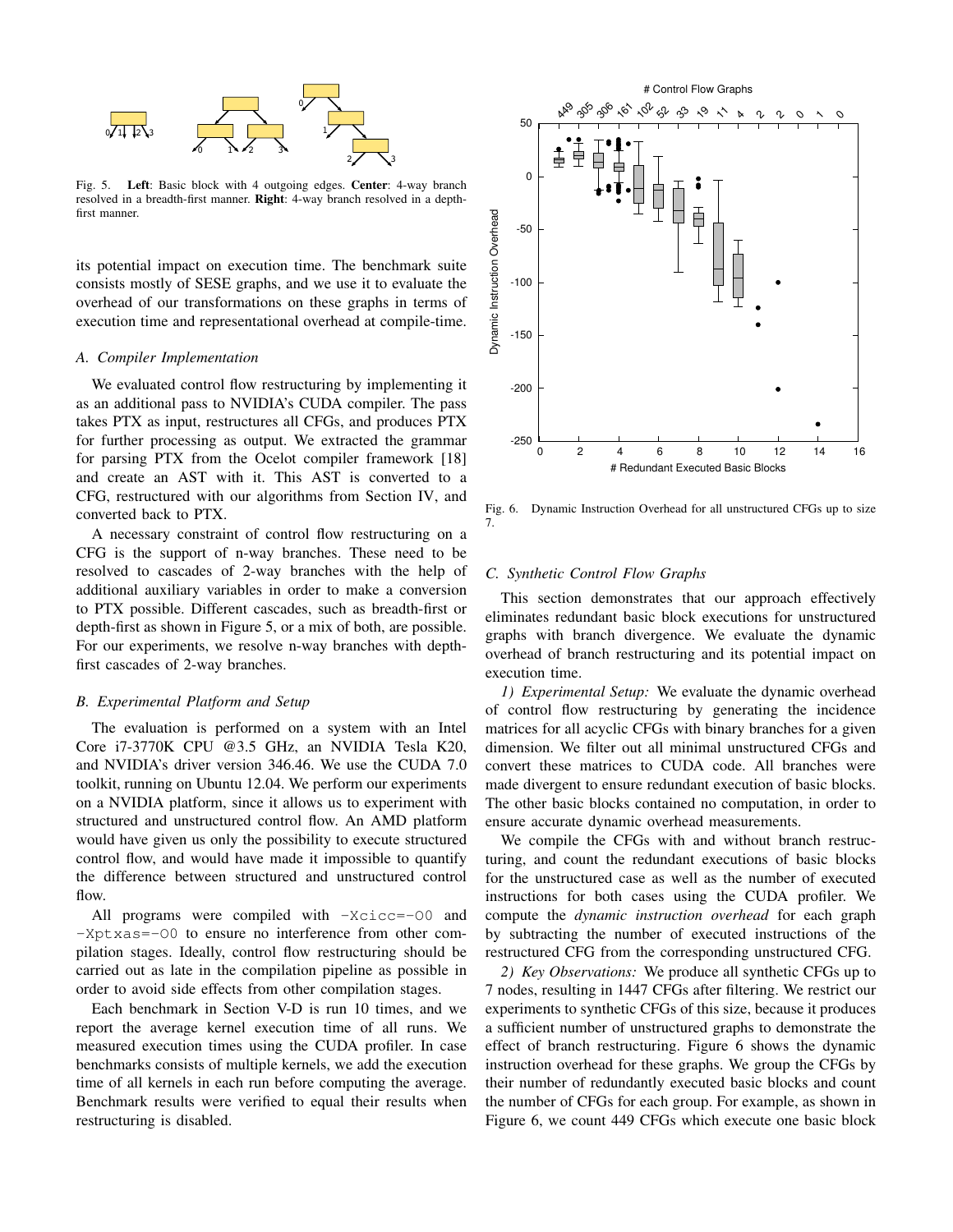

Fig. 5. Left: Basic block with 4 outgoing edges. Center: 4-way branch resolved in a breadth-first manner. **Right**: 4-way branch resolved in a depthfirst manner.

its potential impact on execution time. The benchmark suite consists mostly of SESE graphs, and we use it to evaluate the overhead of our transformations on these graphs in terms of execution time and representational overhead at compile-time.

### *A. Compiler Implementation*

We evaluated control flow restructuring by implementing it as an additional pass to NVIDIA's CUDA compiler. The pass takes PTX as input, restructures all CFGs, and produces PTX for further processing as output. We extracted the grammar for parsing PTX from the Ocelot compiler framework [18] and create an AST with it. This AST is converted to a CFG, restructured with our algorithms from Section IV, and converted back to PTX.

A necessary constraint of control flow restructuring on a CFG is the support of n-way branches. These need to be resolved to cascades of 2-way branches with the help of additional auxiliary variables in order to make a conversion to PTX possible. Different cascades, such as breadth-first or depth-first as shown in Figure 5, or a mix of both, are possible. For our experiments, we resolve n-way branches with depthfirst cascades of 2-way branches.

## *B. Experimental Platform and Setup*

The evaluation is performed on a system with an Intel Core i7-3770K CPU @3.5 GHz, an NVIDIA Tesla K20, and NVIDIA's driver version 346.46. We use the CUDA 7.0 toolkit, running on Ubuntu 12.04. We perform our experiments on a NVIDIA platform, since it allows us to experiment with structured and unstructured control flow. An AMD platform would have given us only the possibility to execute structured control flow, and would have made it impossible to quantify the difference between structured and unstructured control flow.

All programs were compiled with -Xcicc=-O0 and -Xptxas=-O0 to ensure no interference from other compilation stages. Ideally, control flow restructuring should be carried out as late in the compilation pipeline as possible in order to avoid side effects from other compilation stages.

Each benchmark in Section V-D is run 10 times, and we report the average kernel execution time of all runs. We measured execution times using the CUDA profiler. In case benchmarks consists of multiple kernels, we add the execution time of all kernels in each run before computing the average. Benchmark results were verified to equal their results when restructuring is disabled.



Fig. 6. Dynamic Instruction Overhead for all unstructured CFGs up to size 7.

## *C. Synthetic Control Flow Graphs*

This section demonstrates that our approach effectively eliminates redundant basic block executions for unstructured graphs with branch divergence. We evaluate the dynamic overhead of branch restructuring and its potential impact on execution time.

*1) Experimental Setup:* We evaluate the dynamic overhead of control flow restructuring by generating the incidence matrices for all acyclic CFGs with binary branches for a given dimension. We filter out all minimal unstructured CFGs and convert these matrices to CUDA code. All branches were made divergent to ensure redundant execution of basic blocks. The other basic blocks contained no computation, in order to ensure accurate dynamic overhead measurements.

We compile the CFGs with and without branch restructuring, and count the redundant executions of basic blocks for the unstructured case as well as the number of executed instructions for both cases using the CUDA profiler. We compute the *dynamic instruction overhead* for each graph by subtracting the number of executed instructions of the restructured CFG from the corresponding unstructured CFG.

*2) Key Observations:* We produce all synthetic CFGs up to 7 nodes, resulting in 1447 CFGs after filtering. We restrict our experiments to synthetic CFGs of this size, because it produces a sufficient number of unstructured graphs to demonstrate the effect of branch restructuring. Figure 6 shows the dynamic instruction overhead for these graphs. We group the CFGs by their number of redundantly executed basic blocks and count the number of CFGs for each group. For example, as shown in Figure 6, we count 449 CFGs which execute one basic block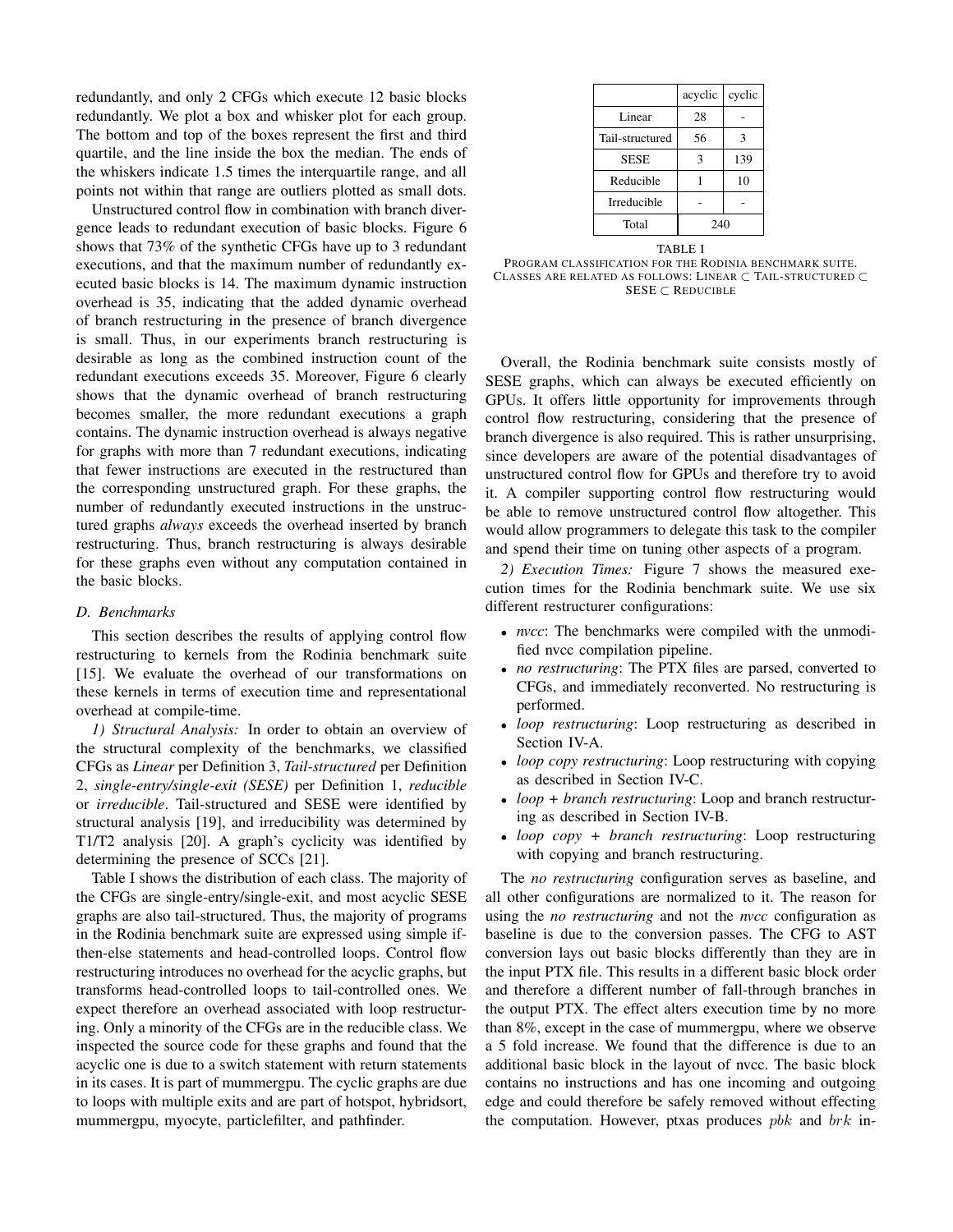redundantly, and only 2 CFGs which execute 12 basic blocks redundantly. We plot a box and whisker plot for each group. The bottom and top of the boxes represent the first and third quartile, and the line inside the box the median. The ends of the whiskers indicate 1.5 times the interquartile range, and all points not within that range are outliers plotted as small dots.

Unstructured control flow in combination with branch divergence leads to redundant execution of basic blocks. Figure 6 shows that 73% of the synthetic CFGs have up to 3 redundant executions, and that the maximum number of redundantly executed basic blocks is 14. The maximum dynamic instruction overhead is 35, indicating that the added dynamic overhead of branch restructuring in the presence of branch divergence is small. Thus, in our experiments branch restructuring is desirable as long as the combined instruction count of the redundant executions exceeds 35. Moreover, Figure 6 clearly shows that the dynamic overhead of branch restructuring becomes smaller, the more redundant executions a graph contains. The dynamic instruction overhead is always negative for graphs with more than 7 redundant executions, indicating that fewer instructions are executed in the restructured than the corresponding unstructured graph. For these graphs, the number of redundantly executed instructions in the unstructured graphs *always* exceeds the overhead inserted by branch restructuring. Thus, branch restructuring is always desirable for these graphs even without any computation contained in the basic blocks.

# *D. Benchmarks*

This section describes the results of applying control flow restructuring to kernels from the Rodinia benchmark suite [15]. We evaluate the overhead of our transformations on these kernels in terms of execution time and representational overhead at compile-time.

*1) Structural Analysis:* In order to obtain an overview of the structural complexity of the benchmarks, we classified CFGs as *Linear* per Definition 3, *Tail-structured* per Definition 2, *single-entry/single-exit (SESE)* per Definition 1, *reducible* or *irreducible*. Tail-structured and SESE were identified by structural analysis [19], and irreducibility was determined by T1/T2 analysis [20]. A graph's cyclicity was identified by determining the presence of SCCs [21].

Table I shows the distribution of each class. The majority of the CFGs are single-entry/single-exit, and most acyclic SESE graphs are also tail-structured. Thus, the majority of programs in the Rodinia benchmark suite are expressed using simple ifthen-else statements and head-controlled loops. Control flow restructuring introduces no overhead for the acyclic graphs, but transforms head-controlled loops to tail-controlled ones. We expect therefore an overhead associated with loop restructuring. Only a minority of the CFGs are in the reducible class. We inspected the source code for these graphs and found that the acyclic one is due to a switch statement with return statements in its cases. It is part of mummergpu. The cyclic graphs are due to loops with multiple exits and are part of hotspot, hybridsort, mummergpu, myocyte, particlefilter, and pathfinder.

|                    | acyclic | cyclic |
|--------------------|---------|--------|
| Linear             | 28      |        |
| Tail-structured    | 56      | 3      |
| <b>SESE</b>        | 3       | 139    |
| Reducible          |         | 10     |
| <b>Irreducible</b> |         |        |
| Total              | 240     |        |

TABLE I

PROGRAM CLASSIFICATION FOR THE RODINIA BENCHMARK SUITE. CLASSES ARE RELATED AS FOLLOWS: LINEAR ⊂ TAIL-STRUCTURED ⊂  $\text{SESE} \subset \text{REDUCIBLE}$ 

Overall, the Rodinia benchmark suite consists mostly of SESE graphs, which can always be executed efficiently on GPUs. It offers little opportunity for improvements through control flow restructuring, considering that the presence of branch divergence is also required. This is rather unsurprising, since developers are aware of the potential disadvantages of unstructured control flow for GPUs and therefore try to avoid it. A compiler supporting control flow restructuring would be able to remove unstructured control flow altogether. This would allow programmers to delegate this task to the compiler and spend their time on tuning other aspects of a program.

*2) Execution Times:* Figure 7 shows the measured execution times for the Rodinia benchmark suite. We use six different restructurer configurations:

- *nvcc*: The benchmarks were compiled with the unmodified nvcc compilation pipeline.
- *no restructuring*: The PTX files are parsed, converted to CFGs, and immediately reconverted. No restructuring is performed.
- *loop restructuring*: Loop restructuring as described in Section IV-A.
- *loop copy restructuring*: Loop restructuring with copying as described in Section IV-C.
- *loop* + *branch restructuring*: Loop and branch restructuring as described in Section IV-B.
- *loop copy + branch restructuring*: Loop restructuring with copying and branch restructuring.

The *no restructuring* configuration serves as baseline, and all other configurations are normalized to it. The reason for using the *no restructuring* and not the *nvcc* configuration as baseline is due to the conversion passes. The CFG to AST conversion lays out basic blocks differently than they are in the input PTX file. This results in a different basic block order and therefore a different number of fall-through branches in the output PTX. The effect alters execution time by no more than 8%, except in the case of mummergpu, where we observe a 5 fold increase. We found that the difference is due to an additional basic block in the layout of nvcc. The basic block contains no instructions and has one incoming and outgoing edge and could therefore be safely removed without effecting the computation. However, ptxas produces  $pbk$  and  $brk$  in-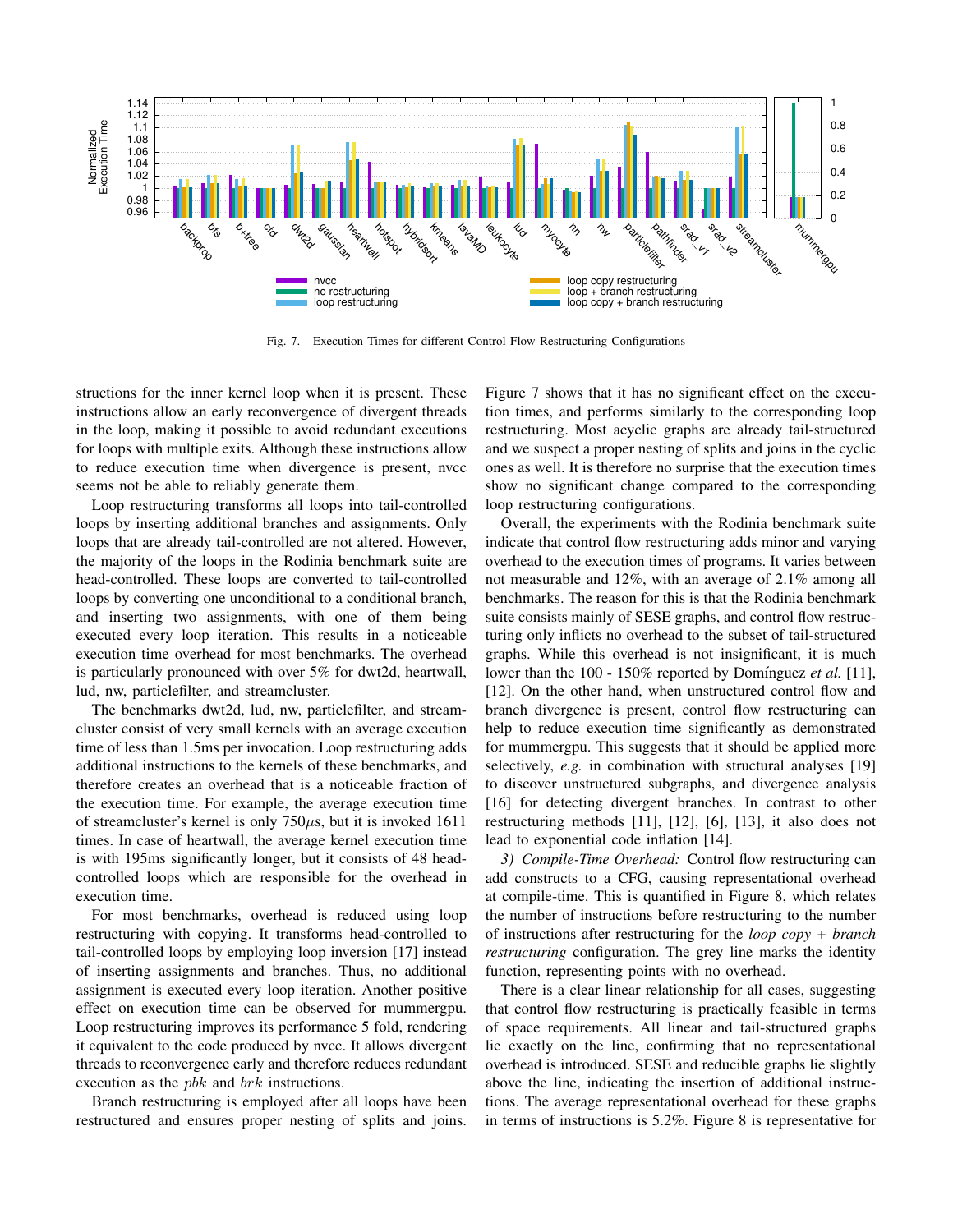

Fig. 7. Execution Times for different Control Flow Restructuring Configurations

structions for the inner kernel loop when it is present. These instructions allow an early reconvergence of divergent threads in the loop, making it possible to avoid redundant executions for loops with multiple exits. Although these instructions allow to reduce execution time when divergence is present, nvcc seems not be able to reliably generate them.

Loop restructuring transforms all loops into tail-controlled loops by inserting additional branches and assignments. Only loops that are already tail-controlled are not altered. However, the majority of the loops in the Rodinia benchmark suite are head-controlled. These loops are converted to tail-controlled loops by converting one unconditional to a conditional branch, and inserting two assignments, with one of them being executed every loop iteration. This results in a noticeable execution time overhead for most benchmarks. The overhead is particularly pronounced with over 5% for dwt2d, heartwall, lud, nw, particlefilter, and streamcluster.

The benchmarks dwt2d, lud, nw, particlefilter, and streamcluster consist of very small kernels with an average execution time of less than 1.5ms per invocation. Loop restructuring adds additional instructions to the kernels of these benchmarks, and therefore creates an overhead that is a noticeable fraction of the execution time. For example, the average execution time of streamcluster's kernel is only  $750\mu s$ , but it is invoked 1611 times. In case of heartwall, the average kernel execution time is with 195ms significantly longer, but it consists of 48 headcontrolled loops which are responsible for the overhead in execution time.

For most benchmarks, overhead is reduced using loop restructuring with copying. It transforms head-controlled to tail-controlled loops by employing loop inversion [17] instead of inserting assignments and branches. Thus, no additional assignment is executed every loop iteration. Another positive effect on execution time can be observed for mummergpu. Loop restructuring improves its performance 5 fold, rendering it equivalent to the code produced by nvcc. It allows divergent threads to reconvergence early and therefore reduces redundant execution as the *pbk* and *brk* instructions.

Branch restructuring is employed after all loops have been restructured and ensures proper nesting of splits and joins. Figure 7 shows that it has no significant effect on the execution times, and performs similarly to the corresponding loop restructuring. Most acyclic graphs are already tail-structured and we suspect a proper nesting of splits and joins in the cyclic ones as well. It is therefore no surprise that the execution times show no significant change compared to the corresponding loop restructuring configurations.

Overall, the experiments with the Rodinia benchmark suite indicate that control flow restructuring adds minor and varying overhead to the execution times of programs. It varies between not measurable and 12%, with an average of 2.1% among all benchmarks. The reason for this is that the Rodinia benchmark suite consists mainly of SESE graphs, and control flow restructuring only inflicts no overhead to the subset of tail-structured graphs. While this overhead is not insignificant, it is much lower than the 100 - 150% reported by Domínguez *et al.* [11], [12]. On the other hand, when unstructured control flow and branch divergence is present, control flow restructuring can help to reduce execution time significantly as demonstrated for mummergpu. This suggests that it should be applied more selectively, *e.g.* in combination with structural analyses [19] to discover unstructured subgraphs, and divergence analysis [16] for detecting divergent branches. In contrast to other restructuring methods [11], [12], [6], [13], it also does not lead to exponential code inflation [14].

*3) Compile-Time Overhead:* Control flow restructuring can add constructs to a CFG, causing representational overhead at compile-time. This is quantified in Figure 8, which relates the number of instructions before restructuring to the number of instructions after restructuring for the *loop copy + branch restructuring* configuration. The grey line marks the identity function, representing points with no overhead.

There is a clear linear relationship for all cases, suggesting that control flow restructuring is practically feasible in terms of space requirements. All linear and tail-structured graphs lie exactly on the line, confirming that no representational overhead is introduced. SESE and reducible graphs lie slightly above the line, indicating the insertion of additional instructions. The average representational overhead for these graphs in terms of instructions is 5.2%. Figure 8 is representative for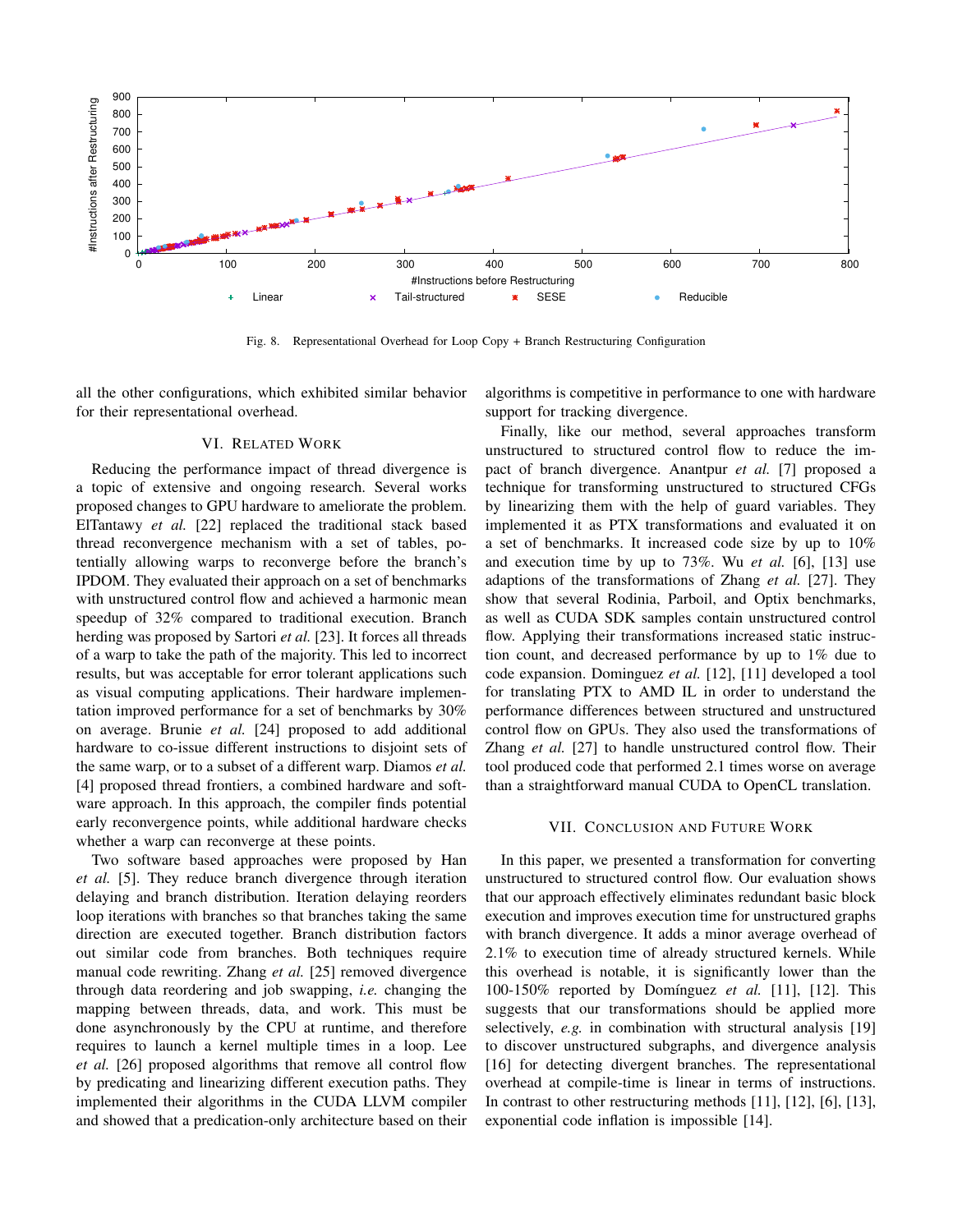

Fig. 8. Representational Overhead for Loop Copy + Branch Restructuring Configuration

all the other configurations, which exhibited similar behavior for their representational overhead.

## VI. RELATED WORK

Reducing the performance impact of thread divergence is a topic of extensive and ongoing research. Several works proposed changes to GPU hardware to ameliorate the problem. ElTantawy *et al.* [22] replaced the traditional stack based thread reconvergence mechanism with a set of tables, potentially allowing warps to reconverge before the branch's IPDOM. They evaluated their approach on a set of benchmarks with unstructured control flow and achieved a harmonic mean speedup of 32% compared to traditional execution. Branch herding was proposed by Sartori *et al.* [23]. It forces all threads of a warp to take the path of the majority. This led to incorrect results, but was acceptable for error tolerant applications such as visual computing applications. Their hardware implementation improved performance for a set of benchmarks by 30% on average. Brunie *et al.* [24] proposed to add additional hardware to co-issue different instructions to disjoint sets of the same warp, or to a subset of a different warp. Diamos *et al.* [4] proposed thread frontiers, a combined hardware and software approach. In this approach, the compiler finds potential early reconvergence points, while additional hardware checks whether a warp can reconverge at these points.

Two software based approaches were proposed by Han *et al.* [5]. They reduce branch divergence through iteration delaying and branch distribution. Iteration delaying reorders loop iterations with branches so that branches taking the same direction are executed together. Branch distribution factors out similar code from branches. Both techniques require manual code rewriting. Zhang *et al.* [25] removed divergence through data reordering and job swapping, *i.e.* changing the mapping between threads, data, and work. This must be done asynchronously by the CPU at runtime, and therefore requires to launch a kernel multiple times in a loop. Lee *et al.* [26] proposed algorithms that remove all control flow by predicating and linearizing different execution paths. They implemented their algorithms in the CUDA LLVM compiler and showed that a predication-only architecture based on their algorithms is competitive in performance to one with hardware support for tracking divergence.

Finally, like our method, several approaches transform unstructured to structured control flow to reduce the impact of branch divergence. Anantpur *et al.* [7] proposed a technique for transforming unstructured to structured CFGs by linearizing them with the help of guard variables. They implemented it as PTX transformations and evaluated it on a set of benchmarks. It increased code size by up to 10% and execution time by up to 73%. Wu *et al.* [6], [13] use adaptions of the transformations of Zhang *et al.* [27]. They show that several Rodinia, Parboil, and Optix benchmarks, as well as CUDA SDK samples contain unstructured control flow. Applying their transformations increased static instruction count, and decreased performance by up to 1% due to code expansion. Dominguez *et al.* [12], [11] developed a tool for translating PTX to AMD IL in order to understand the performance differences between structured and unstructured control flow on GPUs. They also used the transformations of Zhang *et al.* [27] to handle unstructured control flow. Their tool produced code that performed 2.1 times worse on average than a straightforward manual CUDA to OpenCL translation.

## VII. CONCLUSION AND FUTURE WORK

In this paper, we presented a transformation for converting unstructured to structured control flow. Our evaluation shows that our approach effectively eliminates redundant basic block execution and improves execution time for unstructured graphs with branch divergence. It adds a minor average overhead of 2.1% to execution time of already structured kernels. While this overhead is notable, it is significantly lower than the 100-150% reported by Domínguez et al. [11], [12]. This suggests that our transformations should be applied more selectively, *e.g.* in combination with structural analysis [19] to discover unstructured subgraphs, and divergence analysis [16] for detecting divergent branches. The representational overhead at compile-time is linear in terms of instructions. In contrast to other restructuring methods [11], [12], [6], [13], exponential code inflation is impossible [14].